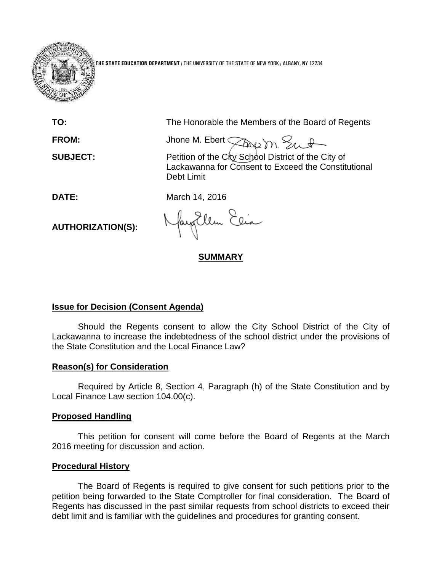

**THE STATE EDUCATION DEPARTMENT** / THE UNIVERSITY OF THE STATE OF NEW YORK / ALBANY, NY 12234

**TO:** The Honorable the Members of the Board of Regents

FROM: Jhone M. Ebert *The m. Sunt* 

**SUBJECT:** Petition of the City School District of the City of Lackawanna for Consent to Exceed the Constitutional Debt Limit

**DATE:** March 14, 2016

**AUTHORIZATION(S):**

fayEllen Elia

**SUMMARY**

# **Issue for Decision (Consent Agenda)**

Should the Regents consent to allow the City School District of the City of Lackawanna to increase the indebtedness of the school district under the provisions of the State Constitution and the Local Finance Law?

## **Reason(s) for Consideration**

Required by Article 8, Section 4, Paragraph (h) of the State Constitution and by Local Finance Law section 104.00(c).

## **Proposed Handling**

This petition for consent will come before the Board of Regents at the March 2016 meeting for discussion and action.

## **Procedural History**

The Board of Regents is required to give consent for such petitions prior to the petition being forwarded to the State Comptroller for final consideration. The Board of Regents has discussed in the past similar requests from school districts to exceed their debt limit and is familiar with the guidelines and procedures for granting consent.